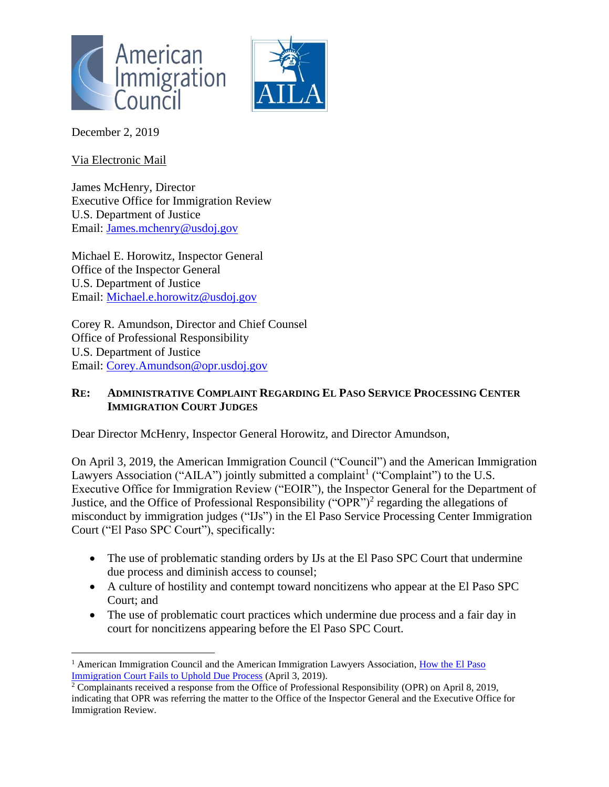



December 2, 2019

Via Electronic Mail

James McHenry, Director Executive Office for Immigration Review U.S. Department of Justice Email: [James.mchenry@usdoj.gov](mailto:James.mchenry@usdoj.gov)

Michael E. Horowitz, Inspector General Office of the Inspector General U.S. Department of Justice Email: [Michael.e.horowitz@usdoj.gov](mailto:Michael.e.horowitz@usdoj.gov)

Corey R. Amundson, Director and Chief Counsel Office of Professional Responsibility U.S. Department of Justice Email: [Corey.Amundson@opr.usdoj.gov](mailto:Corey.Amundson@opr.usdoj.gov)

## **RE: ADMINISTRATIVE COMPLAINT REGARDING EL PASO SERVICE PROCESSING CENTER IMMIGRATION COURT JUDGES**

Dear Director McHenry, Inspector General Horowitz, and Director Amundson,

On April 3, 2019, the American Immigration Council ("Council") and the American Immigration Lawyers Association ("AILA") jointly submitted a complaint<sup>1</sup> ("Complaint") to the U.S. Executive Office for Immigration Review ("EOIR"), the Inspector General for the Department of Justice, and the Office of Professional Responsibility ("OPR")<sup>2</sup> regarding the allegations of misconduct by immigration judges ("IJs") in the El Paso Service Processing Center Immigration Court ("El Paso SPC Court"), specifically:

- The use of problematic standing orders by IJs at the El Paso SPC Court that undermine due process and diminish access to counsel;
- A culture of hostility and contempt toward noncitizens who appear at the El Paso SPC Court; and
- The use of problematic court practices which undermine due process and a fair day in court for noncitizens appearing before the El Paso SPC Court.

<sup>&</sup>lt;sup>1</sup> American Immigration Council and the American Immigration Lawyers Association, How the El Paso [Immigration Court Fails to Uphold Due Process](https://www.americanimmigrationcouncil.org/advocacy/el-paso-immigration-court) (April 3, 2019).

<sup>2</sup> Complainants received a response from the Office of Professional Responsibility (OPR) on April 8, 2019, indicating that OPR was referring the matter to the Office of the Inspector General and the Executive Office for Immigration Review.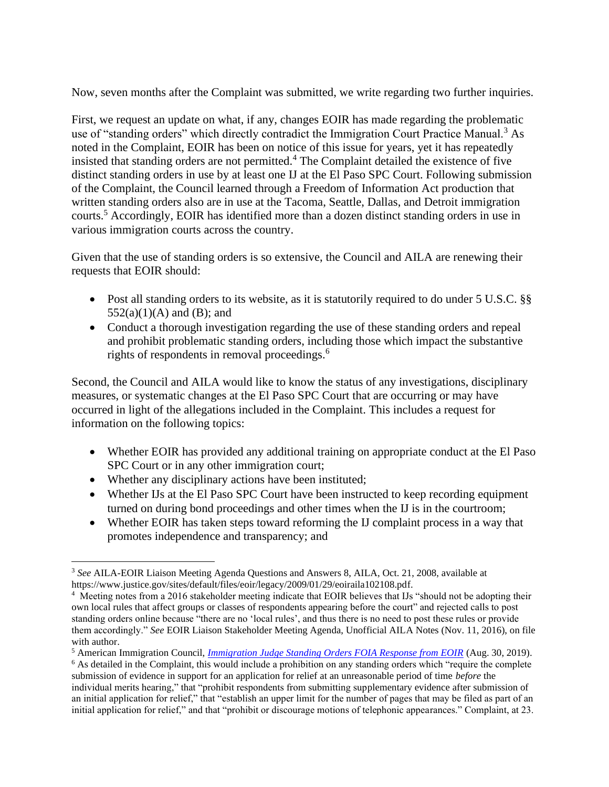Now, seven months after the Complaint was submitted, we write regarding two further inquiries.

First, we request an update on what, if any, changes EOIR has made regarding the problematic use of "standing orders" which directly contradict the Immigration Court Practice Manual.<sup>3</sup> As noted in the Complaint, EOIR has been on notice of this issue for years, yet it has repeatedly insisted that standing orders are not permitted.<sup>4</sup> The Complaint detailed the existence of five distinct standing orders in use by at least one IJ at the El Paso SPC Court. Following submission of the Complaint, the Council learned through a Freedom of Information Act production that written standing orders also are in use at the Tacoma, Seattle, Dallas, and Detroit immigration courts.<sup>5</sup> Accordingly, EOIR has identified more than a dozen distinct standing orders in use in various immigration courts across the country.

Given that the use of standing orders is so extensive, the Council and AILA are renewing their requests that EOIR should:

- Post all standing orders to its website, as it is statutorily required to do under 5 U.S.C. §§  $552(a)(1)(A)$  and (B); and
- Conduct a thorough investigation regarding the use of these standing orders and repeal and prohibit problematic standing orders, including those which impact the substantive rights of respondents in removal proceedings. 6

Second, the Council and AILA would like to know the status of any investigations, disciplinary measures, or systematic changes at the El Paso SPC Court that are occurring or may have occurred in light of the allegations included in the Complaint. This includes a request for information on the following topics:

- Whether EOIR has provided any additional training on appropriate conduct at the El Paso SPC Court or in any other immigration court;
- Whether any disciplinary actions have been instituted;
- Whether IJs at the El Paso SPC Court have been instructed to keep recording equipment turned on during bond proceedings and other times when the IJ is in the courtroom;
- Whether EOIR has taken steps toward reforming the IJ complaint process in a way that promotes independence and transparency; and

<sup>3</sup> *See* AILA-EOIR Liaison Meeting Agenda Questions and Answers 8, AILA, Oct. 21, 2008, available at https://www.justice.gov/sites/default/files/eoir/legacy/2009/01/29/eoiraila102108.pdf.

<sup>4</sup> Meeting notes from a 2016 stakeholder meeting indicate that EOIR believes that IJs "should not be adopting their own local rules that affect groups or classes of respondents appearing before the court" and rejected calls to post standing orders online because "there are no 'local rules', and thus there is no need to post these rules or provide them accordingly." *See* EOIR Liaison Stakeholder Meeting Agenda, Unofficial AILA Notes (Nov. 11, 2016), on file with author.

<sup>5</sup> American Immigration Council, *[Immigration Judge Standing Orders FOIA Response from EOIR](https://www.americanimmigrationcouncil.org/sites/default/files/foia_documents/ij_standing_order_foia_response_from_eoir.pdf)* (Aug. 30, 2019).

<sup>&</sup>lt;sup>6</sup> As detailed in the Complaint, this would include a prohibition on any standing orders which "require the complete submission of evidence in support for an application for relief at an unreasonable period of time *before* the individual merits hearing," that "prohibit respondents from submitting supplementary evidence after submission of an initial application for relief," that "establish an upper limit for the number of pages that may be filed as part of an initial application for relief," and that "prohibit or discourage motions of telephonic appearances." Complaint, at 23.